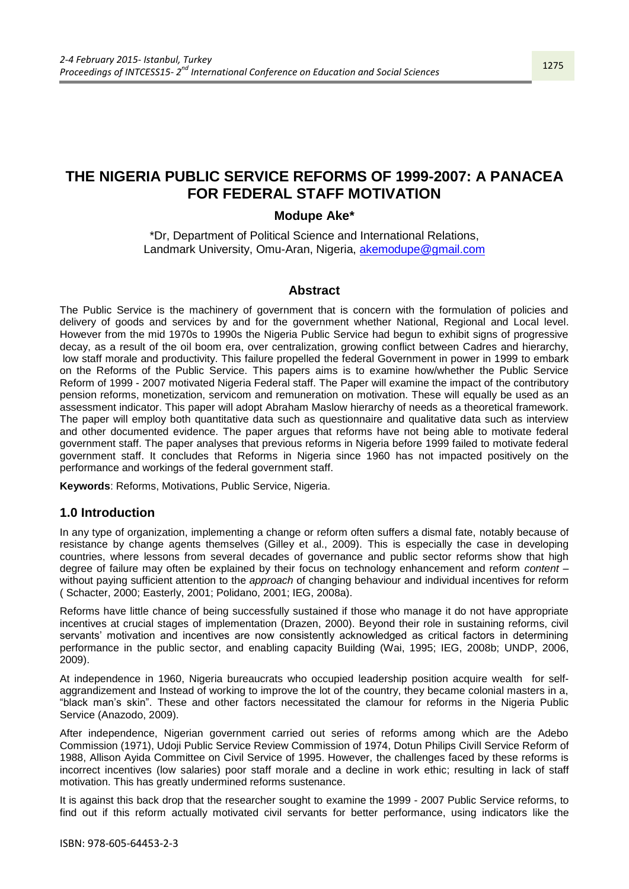# **THE NIGERIA PUBLIC SERVICE REFORMS OF 1999-2007: A PANACEA FOR FEDERAL STAFF MOTIVATION**

# **Modupe Ake\***

\*Dr, Department of Political Science and International Relations, Landmark University, Omu-Aran, Nigeria, [akemodupe@gmail.com](mailto:akemodupe@gmail.com)

### **Abstract**

The Public Service is the machinery of government that is concern with the formulation of policies and delivery of goods and services by and for the government whether National, Regional and Local level. However from the mid 1970s to 1990s the Nigeria Public Service had begun to exhibit signs of progressive decay, as a result of the oil boom era, over centralization, growing conflict between Cadres and hierarchy, low staff morale and productivity. This failure propelled the federal Government in power in 1999 to embark on the Reforms of the Public Service. This papers aims is to examine how/whether the Public Service Reform of 1999 - 2007 motivated Nigeria Federal staff. The Paper will examine the impact of the contributory pension reforms, monetization, servicom and remuneration on motivation. These will equally be used as an assessment indicator. This paper will adopt Abraham Maslow hierarchy of needs as a theoretical framework. The paper will employ both quantitative data such as questionnaire and qualitative data such as interview and other documented evidence. The paper argues that reforms have not being able to motivate federal government staff. The paper analyses that previous reforms in Nigeria before 1999 failed to motivate federal government staff. It concludes that Reforms in Nigeria since 1960 has not impacted positively on the performance and workings of the federal government staff.

**Keywords**: Reforms, Motivations, Public Service, Nigeria.

# **1.0 Introduction**

In any type of organization, implementing a change or reform often suffers a dismal fate, notably because of resistance by change agents themselves (Gilley et al., 2009). This is especially the case in developing countries, where lessons from several decades of governance and public sector reforms show that high degree of failure may often be explained by their focus on technology enhancement and reform *content* – without paying sufficient attention to the *approach* of changing behaviour and individual incentives for reform ( Schacter, 2000; Easterly, 2001; Polidano, 2001; IEG, 2008a).

Reforms have little chance of being successfully sustained if those who manage it do not have appropriate incentives at crucial stages of implementation (Drazen, 2000). Beyond their role in sustaining reforms, civil servants' motivation and incentives are now consistently acknowledged as critical factors in determining performance in the public sector, and enabling capacity Building (Wai, 1995; IEG, 2008b; UNDP, 2006, 2009).

At independence in 1960, Nigeria bureaucrats who occupied leadership position acquire wealth for selfaggrandizement and Instead of working to improve the lot of the country, they became colonial masters in a, ―black man's skin‖. These and other factors necessitated the clamour for reforms in the Nigeria Public Service (Anazodo, 2009).

After independence, Nigerian government carried out series of reforms among which are the Adebo Commission (1971), Udoji Public Service Review Commission of 1974, Dotun Philips Civill Service Reform of 1988, Allison Ayida Committee on Civil Service of 1995. However, the challenges faced by these reforms is incorrect incentives (low salaries) poor staff morale and a decline in work ethic; resulting in lack of staff motivation. This has greatly undermined reforms sustenance.

It is against this back drop that the researcher sought to examine the 1999 - 2007 Public Service reforms, to find out if this reform actually motivated civil servants for better performance, using indicators like the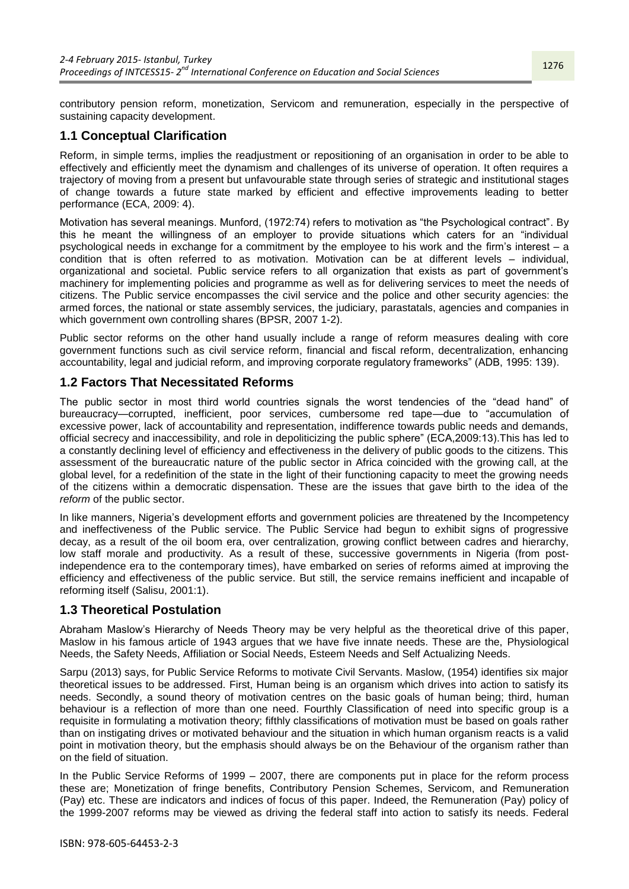contributory pension reform, monetization, Servicom and remuneration, especially in the perspective of sustaining capacity development.

# **1.1 Conceptual Clarification**

Reform, in simple terms, implies the readjustment or repositioning of an organisation in order to be able to effectively and efficiently meet the dynamism and challenges of its universe of operation. It often requires a trajectory of moving from a present but unfavourable state through series of strategic and institutional stages of change towards a future state marked by efficient and effective improvements leading to better performance (ECA, 2009: 4).

Motivation has several meanings. Munford, (1972:74) refers to motivation as "the Psychological contract". By this he meant the willingness of an employer to provide situations which caters for an "individual psychological needs in exchange for a commitment by the employee to his work and the firm's interest – a condition that is often referred to as motivation. Motivation can be at different levels – individual, organizational and societal. Public service refers to all organization that exists as part of government's machinery for implementing policies and programme as well as for delivering services to meet the needs of citizens. The Public service encompasses the civil service and the police and other security agencies: the armed forces, the national or state assembly services, the judiciary, parastatals, agencies and companies in which government own controlling shares (BPSR, 2007 1-2).

Public sector reforms on the other hand usually include a range of reform measures dealing with core government functions such as civil service reform, financial and fiscal reform, decentralization, enhancing accountability, legal and judicial reform, and improving corporate regulatory frameworks" (ADB, 1995: 139).

# **1.2 Factors That Necessitated Reforms**

The public sector in most third world countries signals the worst tendencies of the "dead hand" of bureaucracy—corrupted, inefficient, poor services, cumbersome red tape—due to "accumulation of excessive power, lack of accountability and representation, indifference towards public needs and demands, official secrecy and inaccessibility, and role in depoliticizing the public sphere‖ (ECA,2009:13).This has led to a constantly declining level of efficiency and effectiveness in the delivery of public goods to the citizens. This assessment of the bureaucratic nature of the public sector in Africa coincided with the growing call, at the global level, for a redefinition of the state in the light of their functioning capacity to meet the growing needs of the citizens within a democratic dispensation. These are the issues that gave birth to the idea of the *reform* of the public sector.

In like manners, Nigeria's development efforts and government policies are threatened by the Incompetency and ineffectiveness of the Public service. The Public Service had begun to exhibit signs of progressive decay, as a result of the oil boom era, over centralization, growing conflict between cadres and hierarchy, low staff morale and productivity. As a result of these, successive governments in Nigeria (from postindependence era to the contemporary times), have embarked on series of reforms aimed at improving the efficiency and effectiveness of the public service. But still, the service remains inefficient and incapable of reforming itself (Salisu, 2001:1).

# **1.3 Theoretical Postulation**

Abraham Maslow's Hierarchy of Needs Theory may be very helpful as the theoretical drive of this paper, Maslow in his famous article of 1943 argues that we have five innate needs. These are the, Physiological Needs, the Safety Needs, Affiliation or Social Needs, Esteem Needs and Self Actualizing Needs.

Sarpu (2013) says, for Public Service Reforms to motivate Civil Servants. Maslow, (1954) identifies six major theoretical issues to be addressed. First, Human being is an organism which drives into action to satisfy its needs. Secondly, a sound theory of motivation centres on the basic goals of human being; third, human behaviour is a reflection of more than one need. Fourthly Classification of need into specific group is a requisite in formulating a motivation theory; fifthly classifications of motivation must be based on goals rather than on instigating drives or motivated behaviour and the situation in which human organism reacts is a valid point in motivation theory, but the emphasis should always be on the Behaviour of the organism rather than on the field of situation.

In the Public Service Reforms of 1999 – 2007, there are components put in place for the reform process these are; Monetization of fringe benefits, Contributory Pension Schemes, Servicom, and Remuneration (Pay) etc. These are indicators and indices of focus of this paper. Indeed, the Remuneration (Pay) policy of the 1999-2007 reforms may be viewed as driving the federal staff into action to satisfy its needs. Federal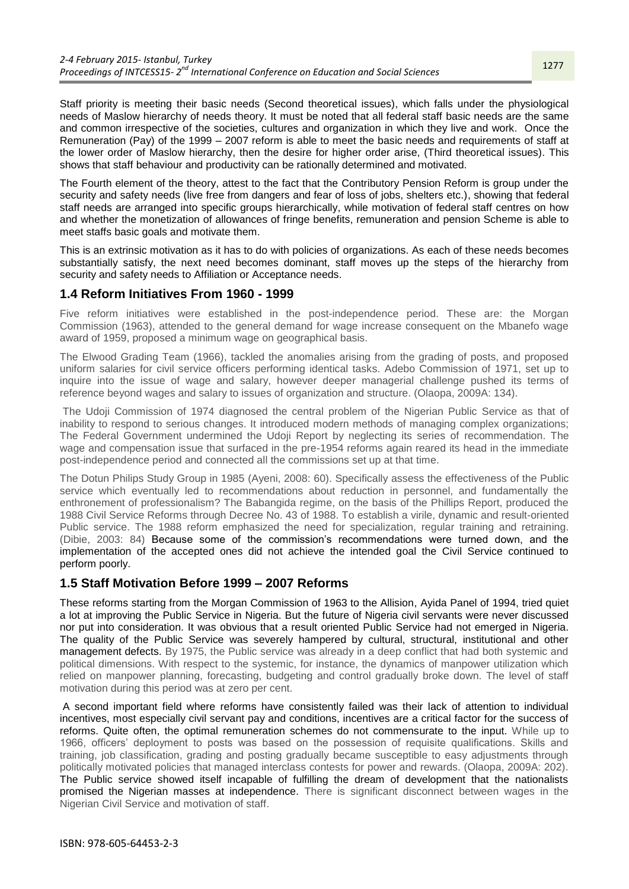Staff priority is meeting their basic needs (Second theoretical issues), which falls under the physiological needs of Maslow hierarchy of needs theory. It must be noted that all federal staff basic needs are the same and common irrespective of the societies, cultures and organization in which they live and work. Once the Remuneration (Pay) of the 1999 – 2007 reform is able to meet the basic needs and requirements of staff at the lower order of Maslow hierarchy, then the desire for higher order arise, (Third theoretical issues). This shows that staff behaviour and productivity can be rationally determined and motivated.

The Fourth element of the theory, attest to the fact that the Contributory Pension Reform is group under the security and safety needs (live free from dangers and fear of loss of jobs, shelters etc.), showing that federal staff needs are arranged into specific groups hierarchically, while motivation of federal staff centres on how and whether the monetization of allowances of fringe benefits, remuneration and pension Scheme is able to meet staffs basic goals and motivate them.

This is an extrinsic motivation as it has to do with policies of organizations. As each of these needs becomes substantially satisfy, the next need becomes dominant, staff moves up the steps of the hierarchy from security and safety needs to Affiliation or Acceptance needs.

# **1.4 Reform Initiatives From 1960 - 1999**

Five reform initiatives were established in the post-independence period. These are: the Morgan Commission (1963), attended to the general demand for wage increase consequent on the Mbanefo wage award of 1959, proposed a minimum wage on geographical basis.

The Elwood Grading Team (1966), tackled the anomalies arising from the grading of posts, and proposed uniform salaries for civil service officers performing identical tasks. Adebo Commission of 1971, set up to inquire into the issue of wage and salary, however deeper managerial challenge pushed its terms of reference beyond wages and salary to issues of organization and structure. (Olaopa, 2009A: 134).

The Udoji Commission of 1974 diagnosed the central problem of the Nigerian Public Service as that of inability to respond to serious changes. It introduced modern methods of managing complex organizations; The Federal Government undermined the Udoji Report by neglecting its series of recommendation. The wage and compensation issue that surfaced in the pre-1954 reforms again reared its head in the immediate post-independence period and connected all the commissions set up at that time.

The Dotun Philips Study Group in 1985 (Ayeni, 2008: 60). Specifically assess the effectiveness of the Public service which eventually led to recommendations about reduction in personnel, and fundamentally the enthronement of professionalism? The Babangida regime, on the basis of the Phillips Report, produced the 1988 Civil Service Reforms through Decree No. 43 of 1988. To establish a virile, dynamic and result-oriented Public service. The 1988 reform emphasized the need for specialization, regular training and retraining. (Dibie, 2003: 84) Because some of the commission's recommendations were turned down, and the implementation of the accepted ones did not achieve the intended goal the Civil Service continued to perform poorly.

# **1.5 Staff Motivation Before 1999 – 2007 Reforms**

These reforms starting from the Morgan Commission of 1963 to the Allision, Ayida Panel of 1994, tried quiet a lot at improving the Public Service in Nigeria. But the future of Nigeria civil servants were never discussed nor put into consideration. It was obvious that a result oriented Public Service had not emerged in Nigeria. The quality of the Public Service was severely hampered by cultural, structural, institutional and other management defects. By 1975, the Public service was already in a deep conflict that had both systemic and political dimensions. With respect to the systemic, for instance, the dynamics of manpower utilization which relied on manpower planning, forecasting, budgeting and control gradually broke down. The level of staff motivation during this period was at zero per cent.

A second important field where reforms have consistently failed was their lack of attention to individual incentives, most especially civil servant pay and conditions, incentives are a critical factor for the success of reforms. Quite often, the optimal remuneration schemes do not commensurate to the input. While up to 1966, officers' deployment to posts was based on the possession of requisite qualifications. Skills and training, job classification, grading and posting gradually became susceptible to easy adjustments through politically motivated policies that managed interclass contests for power and rewards. (Olaopa, 2009A: 202). The Public service showed itself incapable of fulfilling the dream of development that the nationalists promised the Nigerian masses at independence. There is significant disconnect between wages in the Nigerian Civil Service and motivation of staff.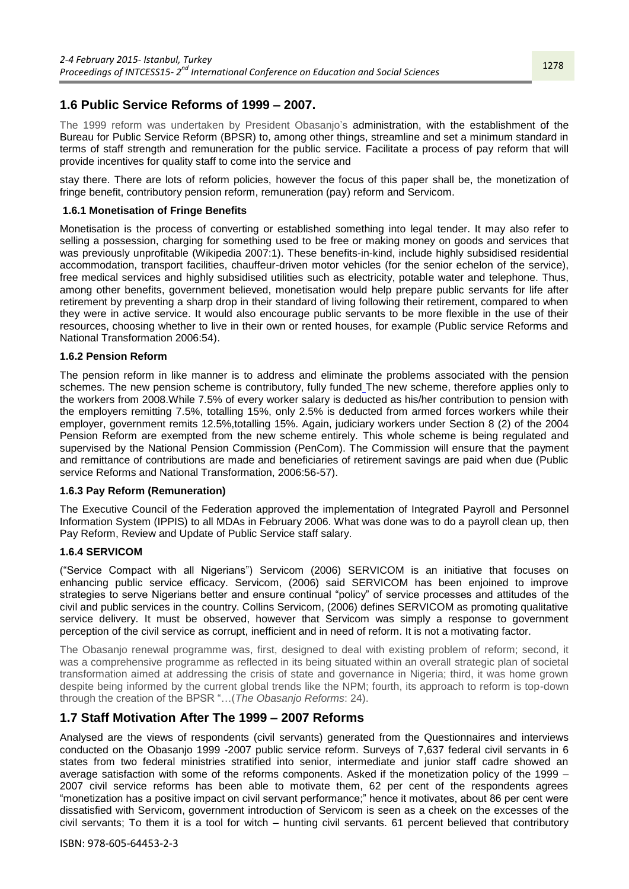# **1.6 Public Service Reforms of 1999 – 2007.**

The 1999 reform was undertaken by President Obasanjo's administration, with the establishment of the Bureau for Public Service Reform (BPSR) to, among other things, streamline and set a minimum standard in terms of staff strength and remuneration for the public service. Facilitate a process of pay reform that will provide incentives for quality staff to come into the service and

stay there. There are lots of reform policies, however the focus of this paper shall be, the monetization of fringe benefit, contributory pension reform, remuneration (pay) reform and Servicom.

### **1.6.1 Monetisation of Fringe Benefits**

Monetisation is the process of converting or established something into legal tender. It may also refer to selling a possession, charging for something used to be free or making money on goods and services that was previously unprofitable (Wikipedia 2007:1). These benefits-in-kind, include highly subsidised residential accommodation, transport facilities, chauffeur-driven motor vehicles (for the senior echelon of the service), free medical services and highly subsidised utilities such as electricity, potable water and telephone. Thus, among other benefits, government believed, monetisation would help prepare public servants for life after retirement by preventing a sharp drop in their standard of living following their retirement, compared to when they were in active service. It would also encourage public servants to be more flexible in the use of their resources, choosing whether to live in their own or rented houses, for example (Public service Reforms and National Transformation 2006:54).

#### **1.6.2 Pension Reform**

The pension reform in like manner is to address and eliminate the problems associated with the pension schemes. The new pension scheme is contributory, fully funded The new scheme, therefore applies only to the workers from 2008.While 7.5% of every worker salary is deducted as his/her contribution to pension with the employers remitting 7.5%, totalling 15%, only 2.5% is deducted from armed forces workers while their employer, government remits 12.5%,totalling 15%. Again, judiciary workers under Section 8 (2) of the 2004 Pension Reform are exempted from the new scheme entirely. This whole scheme is being regulated and supervised by the National Pension Commission (PenCom). The Commission will ensure that the payment and remittance of contributions are made and beneficiaries of retirement savings are paid when due (Public service Reforms and National Transformation, 2006:56-57).

#### **1.6.3 Pay Reform (Remuneration)**

The Executive Council of the Federation approved the implementation of Integrated Payroll and Personnel Information System (IPPIS) to all MDAs in February 2006. What was done was to do a payroll clean up, then Pay Reform, Review and Update of Public Service staff salary.

#### **1.6.4 SERVICOM**

(―Service Compact with all Nigerians‖) Servicom (2006) SERVICOM is an initiative that focuses on enhancing public service efficacy. Servicom, (2006) said SERVICOM has been enjoined to improve strategies to serve Nigerians better and ensure continual "policy" of service processes and attitudes of the civil and public services in the country. Collins Servicom, (2006) defines SERVICOM as promoting qualitative service delivery. It must be observed, however that Servicom was simply a response to government perception of the civil service as corrupt, inefficient and in need of reform. It is not a motivating factor.

The Obasanjo renewal programme was, first, designed to deal with existing problem of reform; second, it was a comprehensive programme as reflected in its being situated within an overall strategic plan of societal transformation aimed at addressing the crisis of state and governance in Nigeria; third, it was home grown despite being informed by the current global trends like the NPM; fourth, its approach to reform is top-down through the creation of the BPSR ―…(*The Obasanjo Reforms*: 24).

# **1.7 Staff Motivation After The 1999 – 2007 Reforms**

Analysed are the views of respondents (civil servants) generated from the Questionnaires and interviews conducted on the Obasanjo 1999 -2007 public service reform. Surveys of 7,637 federal civil servants in 6 states from two federal ministries stratified into senior, intermediate and junior staff cadre showed an average satisfaction with some of the reforms components. Asked if the monetization policy of the 1999 – 2007 civil service reforms has been able to motivate them, 62 per cent of the respondents agrees "monetization has a positive impact on civil servant performance;" hence it motivates, about 86 per cent were dissatisfied with Servicom, government introduction of Servicom is seen as a cheek on the excesses of the civil servants; To them it is a tool for witch – hunting civil servants. 61 percent believed that contributory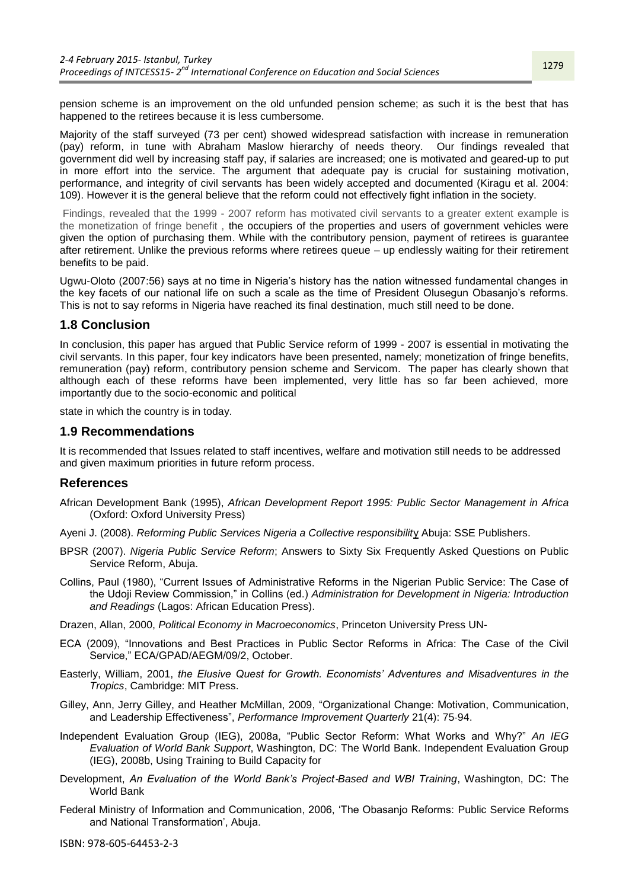pension scheme is an improvement on the old unfunded pension scheme; as such it is the best that has happened to the retirees because it is less cumbersome.

Majority of the staff surveyed (73 per cent) showed widespread satisfaction with increase in remuneration (pay) reform, in tune with Abraham Maslow hierarchy of needs theory. Our findings revealed that government did well by increasing staff pay, if salaries are increased; one is motivated and geared-up to put in more effort into the service. The argument that adequate pay is crucial for sustaining motivation, performance, and integrity of civil servants has been widely accepted and documented (Kiragu et al. 2004: 109). However it is the general believe that the reform could not effectively fight inflation in the society.

Findings, revealed that the 1999 - 2007 reform has motivated civil servants to a greater extent example is the monetization of fringe benefit , the occupiers of the properties and users of government vehicles were given the option of purchasing them. While with the contributory pension, payment of retirees is guarantee after retirement. Unlike the previous reforms where retirees queue – up endlessly waiting for their retirement benefits to be paid.

Ugwu-Oloto (2007:56) says at no time in Nigeria's history has the nation witnessed fundamental changes in the key facets of our national life on such a scale as the time of President Olusegun Obasanjo's reforms. This is not to say reforms in Nigeria have reached its final destination, much still need to be done.

# **1.8 Conclusion**

In conclusion, this paper has argued that Public Service reform of 1999 - 2007 is essential in motivating the civil servants. In this paper, four key indicators have been presented, namely; monetization of fringe benefits, remuneration (pay) reform, contributory pension scheme and Servicom. The paper has clearly shown that although each of these reforms have been implemented, very little has so far been achieved, more importantly due to the socio-economic and political

state in which the country is in today.

### **1.9 Recommendations**

It is recommended that Issues related to staff incentives, welfare and motivation still needs to be addressed and given maximum priorities in future reform process.

### **References**

- African Development Bank (1995), *African Development Report 1995: Public Sector Management in Africa* (Oxford: Oxford University Press)
- Ayeni J. (2008). *Reforming Public Services Nigeria a Collective responsibilit*y Abuja: SSE Publishers.
- BPSR (2007). *Nigeria Public Service Reform*; Answers to Sixty Six Frequently Asked Questions on Public Service Reform, Abuja.
- Collins, Paul (1980), "Current Issues of Administrative Reforms in the Nigerian Public Service: The Case of the Udoji Review Commission," in Collins (ed.) Administration for Development in Nigeria: Introduction *and Readings* (Lagos: African Education Press).
- Drazen, Allan, 2000, *Political Economy in Macroeconomics*, Princeton University Press UN-
- ECA (2009), "Innovations and Best Practices in Public Sector Reforms in Africa: The Case of the Civil Service," ECA/GPAD/AEGM/09/2, October.
- Easterly, William, 2001, *the Elusive Quest for Growth. Economists' Adventures and Misadventures in the Tropics*, Cambridge: MIT Press.
- Gilley, Ann, Jerry Gilley, and Heather McMillan, 2009, "Organizational Change: Motivation, Communication, and Leadership Effectiveness‖, *Performance Improvement Quarterly* 21(4): 75‐94.
- Independent Evaluation Group (IEG), 2008a, "Public Sector Reform: What Works and Why?" An IEG *Evaluation of World Bank Support*, Washington, DC: The World Bank. Independent Evaluation Group (IEG), 2008b, Using Training to Build Capacity for
- Development, *An Evaluation of the World Bank's Project*‐*Based and WBI Training*, Washington, DC: The World Bank
- Federal Ministry of Information and Communication, 2006, 'The Obasanjo Reforms: Public Service Reforms and National Transformation', Abuja.